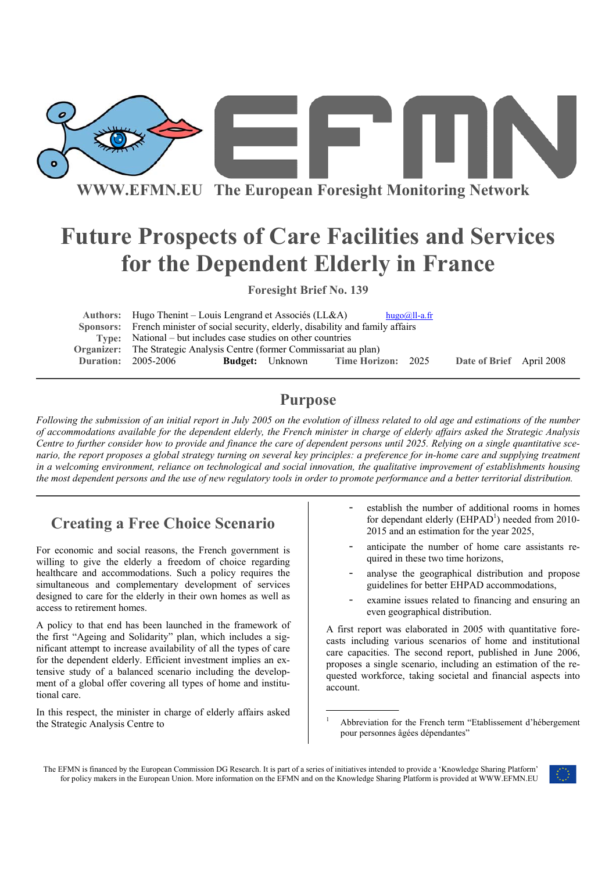

**WWW.EFMN.EU The European Foresight Monitoring Network**

# **Future Prospects of Care Facilities and Services for the Dependent Elderly in France**

**Foresight Brief No. 139** 

| Authors: Hugo Thenint – Louis Lengrand et Associés (LL&A)                            |  |                        |                    | $hugo@ll-a.fr$ |                          |  |
|--------------------------------------------------------------------------------------|--|------------------------|--------------------|----------------|--------------------------|--|
| Sponsors: French minister of social security, elderly, disability and family affairs |  |                        |                    |                |                          |  |
| Type: National – but includes case studies on other countries                        |  |                        |                    |                |                          |  |
| <b>Organizer:</b> The Strategic Analysis Centre (former Commissariat au plan)        |  |                        |                    |                |                          |  |
| <b>Duration: 2005-2006</b>                                                           |  | <b>Budget:</b> Unknown | Time Horizon: 2025 |                | Date of Brief April 2008 |  |

## **Purpose**

*Following the submission of an initial report in July 2005 on the evolution of illness related to old age and estimations of the number of accommodations available for the dependent elderly, the French minister in charge of elderly affairs asked the Strategic Analysis Centre to further consider how to provide and finance the care of dependent persons until 2025. Relying on a single quantitative scenario, the report proposes a global strategy turning on several key principles: a preference for in-home care and supplying treatment in a welcoming environment, reliance on technological and social innovation, the qualitative improvement of establishments housing the most dependent persons and the use of new regulatory tools in order to promote performance and a better territorial distribution.*

# **Creating a Free Choice Scenario**

For economic and social reasons, the French government is willing to give the elderly a freedom of choice regarding healthcare and accommodations. Such a policy requires the simultaneous and complementary development of services designed to care for the elderly in their own homes as well as access to retirement homes.

A policy to that end has been launched in the framework of the first "Ageing and Solidarity" plan, which includes a significant attempt to increase availability of all the types of care for the dependent elderly. Efficient investment implies an extensive study of a balanced scenario including the development of a global offer covering all types of home and institutional care.

In this respect, the minister in charge of elderly affairs asked the Strategic Analysis Centre to

- establish the number of additional rooms in homes for dependant elderly  $(EHPAD<sup>1</sup>)$  needed from 2010-2015 and an estimation for the year 2025,
- anticipate the number of home care assistants required in these two time horizons,
- analyse the geographical distribution and propose guidelines for better EHPAD accommodations,
- examine issues related to financing and ensuring an even geographical distribution.

A first report was elaborated in 2005 with quantitative forecasts including various scenarios of home and institutional care capacities. The second report, published in June 2006, proposes a single scenario, including an estimation of the requested workforce, taking societal and financial aspects into account.

1



Abbreviation for the French term "Etablissement d'hébergement pour personnes âgées dépendantes"

The EFMN is financed by the European Commission DG Research. It is part of a series of initiatives intended to provide a 'Knowledge Sharing Platform' for policy makers in the European Union. More information on the EFMN and on the Knowledge Sharing Platform is provided at WWW.EFMN.EU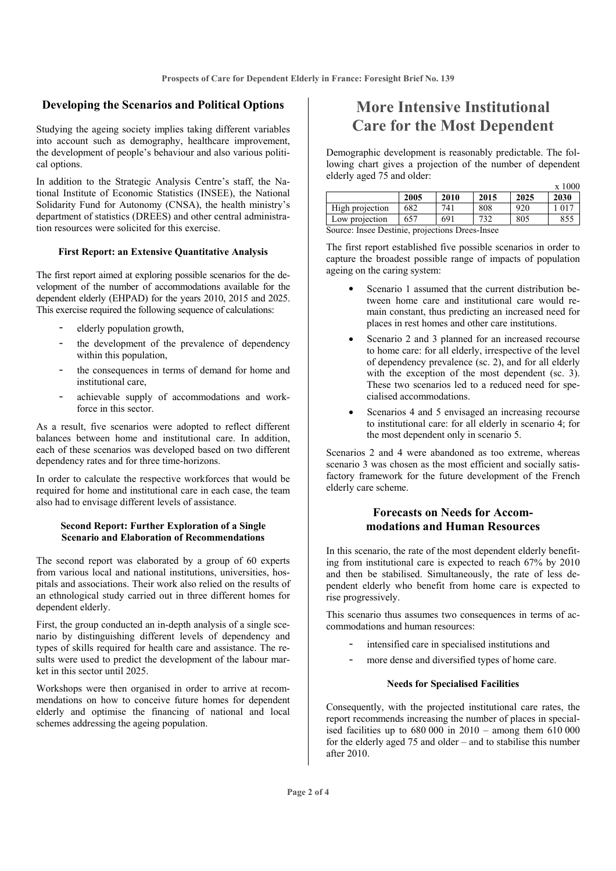### **Developing the Scenarios and Political Options**

Studying the ageing society implies taking different variables into account such as demography, healthcare improvement, the development of people's behaviour and also various political options.

In addition to the Strategic Analysis Centre's staff, the National Institute of Economic Statistics (INSEE), the National Solidarity Fund for Autonomy (CNSA), the health ministry's department of statistics (DREES) and other central administration resources were solicited for this exercise.

#### **First Report: an Extensive Quantitative Analysis**

The first report aimed at exploring possible scenarios for the development of the number of accommodations available for the dependent elderly (EHPAD) for the years 2010, 2015 and 2025. This exercise required the following sequence of calculations:

- elderly population growth,
- the development of the prevalence of dependency within this population,
- the consequences in terms of demand for home and institutional care,
- achievable supply of accommodations and workforce in this sector.

As a result, five scenarios were adopted to reflect different balances between home and institutional care. In addition, each of these scenarios was developed based on two different dependency rates and for three time-horizons.

In order to calculate the respective workforces that would be required for home and institutional care in each case, the team also had to envisage different levels of assistance.

#### **Second Report: Further Exploration of a Single Scenario and Elaboration of Recommendations**

The second report was elaborated by a group of 60 experts from various local and national institutions, universities, hospitals and associations. Their work also relied on the results of an ethnological study carried out in three different homes for dependent elderly.

First, the group conducted an in-depth analysis of a single scenario by distinguishing different levels of dependency and types of skills required for health care and assistance. The results were used to predict the development of the labour market in this sector until 2025.

Workshops were then organised in order to arrive at recommendations on how to conceive future homes for dependent elderly and optimise the financing of national and local schemes addressing the ageing population.

# **More Intensive Institutional Care for the Most Dependent**

Demographic development is reasonably predictable. The following chart gives a projection of the number of dependent elderly aged 75 and older:  $-1000$ 

|                                                 |      |      |      |      | A TUUU        |
|-------------------------------------------------|------|------|------|------|---------------|
|                                                 | 2005 | 2010 | 2015 | 2025 | 2030          |
| High projection                                 | 682  | 741  | 808  | 920  | $101^{\circ}$ |
| Low projection                                  | 657  | 691  | 732  | 805  | 855           |
| Country Lines Destinio and continue David Lines |      |      |      |      |               |

Source: Insee Destinie, projections Drees-Insee

The first report established five possible scenarios in order to capture the broadest possible range of impacts of population ageing on the caring system:

- Scenario 1 assumed that the current distribution between home care and institutional care would remain constant, thus predicting an increased need for places in rest homes and other care institutions.
- Scenario 2 and 3 planned for an increased recourse to home care: for all elderly, irrespective of the level of dependency prevalence (sc. 2), and for all elderly with the exception of the most dependent (sc. 3). These two scenarios led to a reduced need for specialised accommodations.
- Scenarios 4 and 5 envisaged an increasing recourse to institutional care: for all elderly in scenario 4; for the most dependent only in scenario 5.

Scenarios 2 and 4 were abandoned as too extreme, whereas scenario 3 was chosen as the most efficient and socially satisfactory framework for the future development of the French elderly care scheme.

### **Forecasts on Needs for Accommodations and Human Resources**

In this scenario, the rate of the most dependent elderly benefiting from institutional care is expected to reach 67% by 2010 and then be stabilised. Simultaneously, the rate of less dependent elderly who benefit from home care is expected to rise progressively.

This scenario thus assumes two consequences in terms of accommodations and human resources:

- intensified care in specialised institutions and
- more dense and diversified types of home care.

#### **Needs for Specialised Facilities**

Consequently, with the projected institutional care rates, the report recommends increasing the number of places in specialised facilities up to  $680,000$  in  $2010$  – among them  $610,000$ for the elderly aged 75 and older – and to stabilise this number after 2010.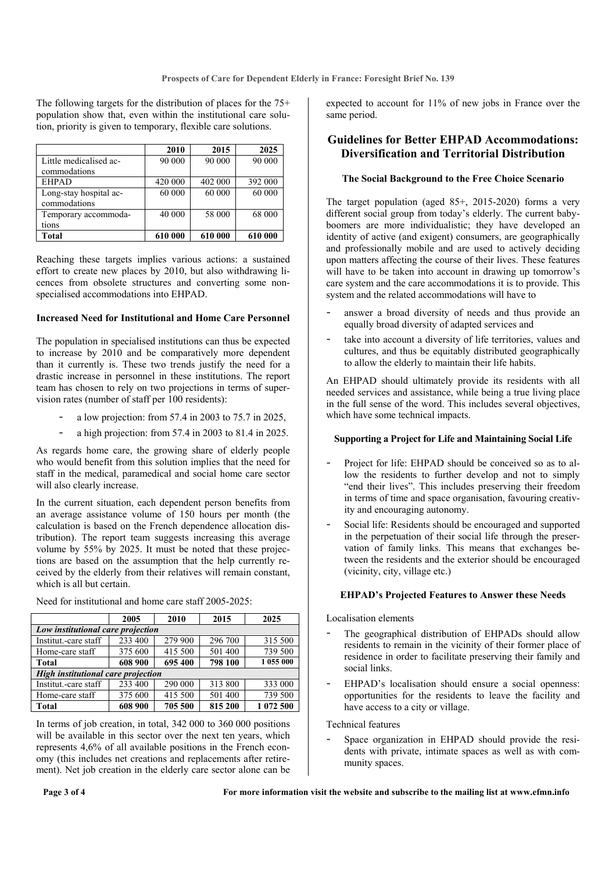The following targets for the distribution of places for the 75+ population show that, even within the institutional care solution, priority is given to temporary, flexible care solutions.

|                                        | 2010    | 2015    | 2025    |
|----------------------------------------|---------|---------|---------|
| Little medicalised ac-<br>commodations | 90 000  | 90 000  | 90 000  |
| <b>EHPAD</b>                           | 420 000 | 402 000 | 392 000 |
| Long-stay hospital ac-<br>commodations | 60 000  | 60 000  | 60 000  |
| Temporary accommoda-                   | 40 000  | 58 000  | 68 000  |
| tions                                  |         |         |         |
| Total                                  | 610 000 | 610 000 | 610 000 |

Reaching these targets implies various actions: a sustained effort to create new places by 2010, but also withdrawing licences from obsolete structures and converting some nonspecialised accommodations into EHPAD.

#### **Increased Need for Institutional and Home Care Personnel**

The population in specialised institutions can thus be expected to increase by 2010 and be comparatively more dependent than it currently is. These two trends justify the need for a drastic increase in personnel in these institutions. The report team has chosen to rely on two projections in terms of supervision rates (number of staff per 100 residents):

- a low projection: from 57.4 in 2003 to 75.7 in 2025,
- a high projection: from 57.4 in 2003 to 81.4 in 2025.

As regards home care, the growing share of elderly people who would benefit from this solution implies that the need for staff in the medical, paramedical and social home care sector will also clearly increase.

In the current situation, each dependent person benefits from an average assistance volume of 150 hours per month (the calculation is based on the French dependence allocation distribution). The report team suggests increasing this average volume by 55% by 2025. It must be noted that these projections are based on the assumption that the help currently received by the elderly from their relatives will remain constant, which is all but certain.

|                                    | 2005    | 2010               | 2015    | 2025      |  |  |  |
|------------------------------------|---------|--------------------|---------|-----------|--|--|--|
| Low institutional care projection  |         |                    |         |           |  |  |  |
| Institut.-care staff               | 233 400 | 279 900            | 296 700 | 315 500   |  |  |  |
| Home-care staff                    | 375 600 | 415 500            | 501 400 | 739 500   |  |  |  |
| <b>Total</b>                       | 608 900 | 798 100<br>695 400 |         | 1 055 000 |  |  |  |
| High institutional care projection |         |                    |         |           |  |  |  |
| Institut.-care staff               | 233 400 | 290 000            | 313 800 | 333 000   |  |  |  |
| Home-care staff                    | 375 600 | 415 500            | 501 400 | 739 500   |  |  |  |
| <b>Total</b>                       | 608 900 | 705 500            | 815 200 | 1 072 500 |  |  |  |

Need for institutional and home care staff 2005-2025:

In terms of job creation, in total, 342 000 to 360 000 positions will be available in this sector over the next ten years, which represents 4,6% of all available positions in the French economy (this includes net creations and replacements after retirement). Net job creation in the elderly care sector alone can be

expected to account for 11% of new jobs in France over the same period.

### **Guidelines for Better EHPAD Accommodations: Diversification and Territorial Distribution**

#### **The Social Background to the Free Choice Scenario**

The target population (aged 85+, 2015-2020) forms a very different social group from today's elderly. The current babyboomers are more individualistic; they have developed an identity of active (and exigent) consumers, are geographically and professionally mobile and are used to actively deciding upon matters affecting the course of their lives. These features will have to be taken into account in drawing up tomorrow's care system and the care accommodations it is to provide. This system and the related accommodations will have to

- answer a broad diversity of needs and thus provide an equally broad diversity of adapted services and
- take into account a diversity of life territories, values and cultures, and thus be equitably distributed geographically to allow the elderly to maintain their life habits.

An EHPAD should ultimately provide its residents with all needed services and assistance, while being a true living place in the full sense of the word. This includes several objectives, which have some technical impacts.

#### **Supporting a Project for Life and Maintaining Social Life**

- Project for life: EHPAD should be conceived so as to allow the residents to further develop and not to simply "end their lives". This includes preserving their freedom in terms of time and space organisation, favouring creativity and encouraging autonomy.
- Social life: Residents should be encouraged and supported in the perpetuation of their social life through the preservation of family links. This means that exchanges between the residents and the exterior should be encouraged (vicinity, city, village etc.)

#### **EHPAD's Projected Features to Answer these Needs**

Localisation elements

- The geographical distribution of EHPADs should allow residents to remain in the vicinity of their former place of residence in order to facilitate preserving their family and social links.
- EHPAD's localisation should ensure a social openness: opportunities for the residents to leave the facility and have access to a city or village.

Technical features

Space organization in EHPAD should provide the residents with private, intimate spaces as well as with community spaces.